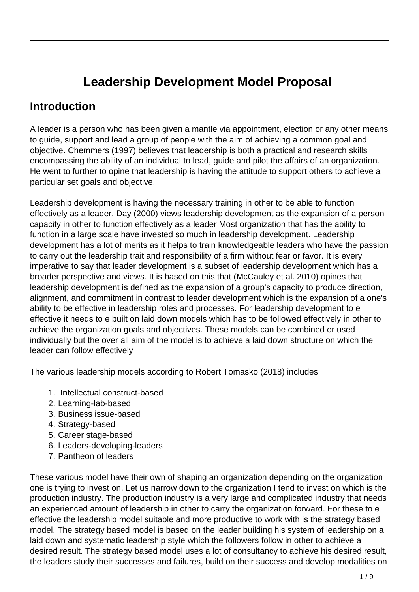# **Leadership Development Model Proposal**

# **Introduction**

A leader is a person who has been given a mantle via appointment, election or any other means to guide, support and lead a group of people with the aim of achieving a common goal and objective. Chemmers (1997) believes that leadership is both a practical and research skills encompassing the ability of an individual to lead, guide and pilot the affairs of an organization. He went to further to opine that leadership is having the attitude to support others to achieve a particular set goals and objective.

Leadership development is having the necessary training in other to be able to function effectively as a leader, Day (2000) views leadership development as the expansion of a person capacity in other to function effectively as a leader Most organization that has the ability to function in a large scale have invested so much in leadership development. Leadership development has a lot of merits as it helps to train knowledgeable leaders who have the passion to carry out the leadership trait and responsibility of a firm without fear or favor. It is every imperative to say that leader development is a subset of leadership development which has a broader perspective and views. It is based on this that (McCauley et al. 2010) opines that leadership development is defined as the expansion of a group's capacity to produce direction, alignment, and commitment in contrast to leader development which is the expansion of a one's ability to be effective in leadership roles and processes. For leadership development to e effective it needs to e built on laid down models which has to be followed effectively in other to achieve the organization goals and objectives. These models can be combined or used individually but the over all aim of the model is to achieve a laid down structure on which the leader can follow effectively

The various leadership models according to Robert Tomasko (2018) includes

- 1. Intellectual construct-based
- 2. Learning-lab-based
- 3. Business issue-based
- 4. Strategy-based
- 5. Career stage-based
- 6. Leaders-developing-leaders
- 7. Pantheon of leaders

These various model have their own of shaping an organization depending on the organization one is trying to invest on. Let us narrow down to the organization I tend to invest on which is the production industry. The production industry is a very large and complicated industry that needs an experienced amount of leadership in other to carry the organization forward. For these to e effective the leadership model suitable and more productive to work with is the strategy based model. The strategy based model is based on the leader building his system of leadership on a laid down and systematic leadership style which the followers follow in other to achieve a desired result. The strategy based model uses a lot of consultancy to achieve his desired result, the leaders study their successes and failures, build on their success and develop modalities on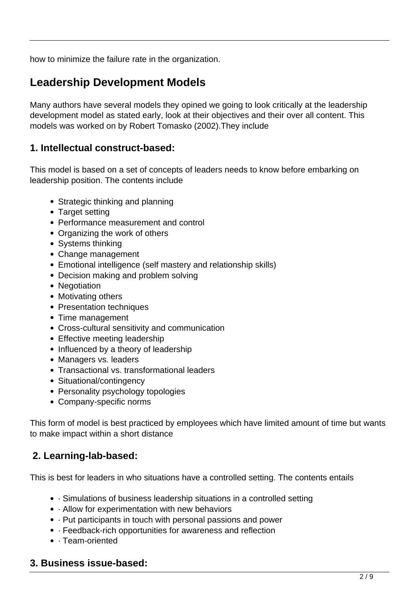how to minimize the failure rate in the organization.

# **Leadership Development Models**

Many authors have several models they opined we going to look critically at the leadership development model as stated early, look at their objectives and their over all content. This models was worked on by Robert Tomasko (2002).They include

## **1. Intellectual construct-based:**

This model is based on a set of concepts of leaders needs to know before embarking on leadership position. The contents include

- Strategic thinking and planning
- Target setting
- Performance measurement and control
- Organizing the work of others
- Systems thinking
- Change management
- Emotional intelligence (self mastery and relationship skills)
- Decision making and problem solving
- Negotiation
- Motivating others
- Presentation techniques
- Time management
- Cross-cultural sensitivity and communication
- Effective meeting leadership
- Influenced by a theory of leadership
- Managers vs. leaders
- Transactional vs. transformational leaders
- Situational/contingency
- Personality psychology topologies
- Company-specific norms

This form of model is best practiced by employees which have limited amount of time but wants to make impact within a short distance

## **2. Learning-lab-based:**

This is best for leaders in who situations have a controlled setting. The contents entails

- · Simulations of business leadership situations in a controlled setting
- · Allow for experimentation with new behaviors
- · Put participants in touch with personal passions and power
- · Feedback-rich opportunities for awareness and reflection
- · Team-oriented

## **3. Business issue-based:**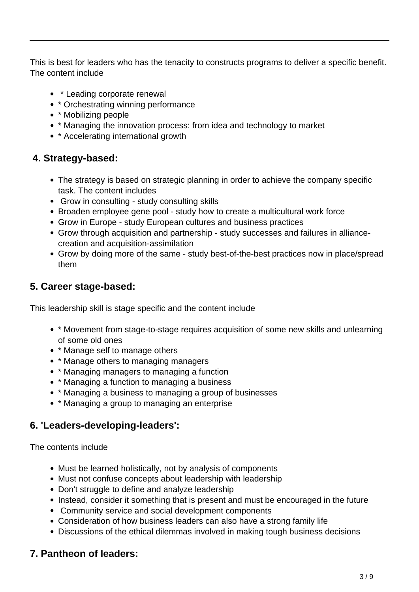This is best for leaders who has the tenacity to constructs programs to deliver a specific benefit. The content include

- \* Leading corporate renewal
- \* Orchestrating winning performance
- \* Mobilizing people
- \* Managing the innovation process: from idea and technology to market
- \* Accelerating international growth

## **4. Strategy-based:**

- The strategy is based on strategic planning in order to achieve the company specific task. The content includes
- Grow in consulting study consulting skills
- Broaden employee gene pool study how to create a multicultural work force
- Grow in Europe study European cultures and business practices
- Grow through acquisition and partnership study successes and failures in alliancecreation and acquisition-assimilation
- Grow by doing more of the same study best-of-the-best practices now in place/spread them

## **5. Career stage-based:**

This leadership skill is stage specific and the content include

- \* Movement from stage-to-stage requires acquisition of some new skills and unlearning of some old ones
- \* Manage self to manage others
- \* Manage others to managing managers
- \* Managing managers to managing a function
- \* Managing a function to managing a business
- \* Managing a business to managing a group of businesses
- \* Managing a group to managing an enterprise

## **6. 'Leaders-developing-leaders':**

The contents include

- Must be learned holistically, not by analysis of components
- Must not confuse concepts about leadership with leadership
- Don't struggle to define and analyze leadership
- Instead, consider it something that is present and must be encouraged in the future
- Community service and social development components
- Consideration of how business leaders can also have a strong family life
- Discussions of the ethical dilemmas involved in making tough business decisions

## **7. Pantheon of leaders:**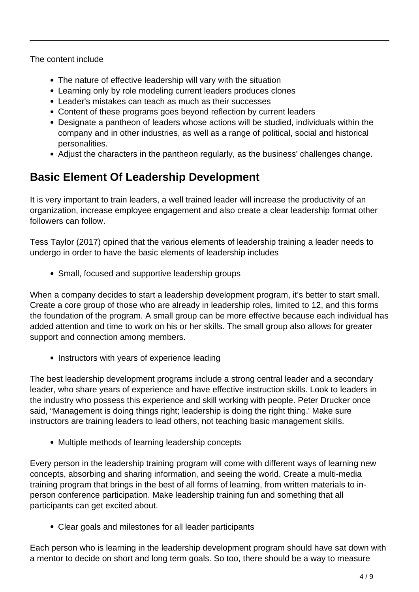The content include

- The nature of effective leadership will vary with the situation
- Learning only by role modeling current leaders produces clones
- Leader's mistakes can teach as much as their successes
- Content of these programs goes beyond reflection by current leaders
- Designate a pantheon of leaders whose actions will be studied, individuals within the company and in other industries, as well as a range of political, social and historical personalities.
- Adjust the characters in the pantheon regularly, as the business' challenges change.

# **Basic Element Of Leadership Development**

It is very important to train leaders, a well trained leader will increase the productivity of an organization, increase employee engagement and also create a clear leadership format other followers can follow.

Tess Taylor (2017) opined that the various elements of leadership training a leader needs to undergo in order to have the basic elements of leadership includes

• Small, focused and supportive leadership groups

When a company decides to start a leadership development program, it's better to start small. Create a core group of those who are already in leadership roles, limited to 12, and this forms the foundation of the program. A small group can be more effective because each individual has added attention and time to work on his or her skills. The small group also allows for greater support and connection among members.

• Instructors with years of experience leading

The best leadership development programs include a strong central leader and a secondary leader, who share years of experience and have effective instruction skills. Look to leaders in the industry who possess this experience and skill working with people. Peter Drucker once said, "Management is doing things right; leadership is doing the right thing.' Make sure instructors are training leaders to lead others, not teaching basic management skills.

• Multiple methods of learning leadership concepts

Every person in the leadership training program will come with different ways of learning new concepts, absorbing and sharing information, and seeing the world. Create a multi-media training program that brings in the best of all forms of learning, from written materials to inperson conference participation. Make leadership training fun and something that all participants can get excited about.

Clear goals and milestones for all leader participants

Each person who is learning in the leadership development program should have sat down with a mentor to decide on short and long term goals. So too, there should be a way to measure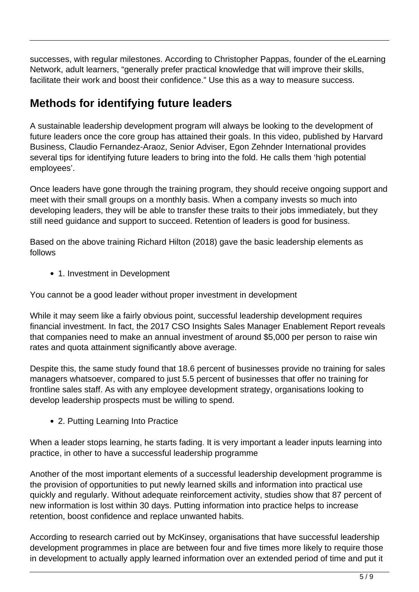successes, with regular milestones. According to Christopher Pappas, founder of the eLearning Network, adult learners, "generally prefer practical knowledge that will improve their skills, facilitate their work and boost their confidence." Use this as a way to measure success.

# **Methods for identifying future leaders**

A sustainable leadership development program will always be looking to the development of future leaders once the core group has attained their goals. In this video, published by Harvard Business, Claudio Fernandez-Araoz, Senior Adviser, Egon Zehnder International provides several tips for identifying future leaders to bring into the fold. He calls them 'high potential employees'.

Once leaders have gone through the training program, they should receive ongoing support and meet with their small groups on a monthly basis. When a company invests so much into developing leaders, they will be able to transfer these traits to their jobs immediately, but they still need guidance and support to succeed. Retention of leaders is good for business.

Based on the above training Richard Hilton (2018) gave the basic leadership elements as follows

1. Investment in Development

You cannot be a good leader without proper investment in development

While it may seem like a fairly obvious point, successful leadership development requires financial investment. In fact, the 2017 CSO Insights Sales Manager Enablement Report reveals that companies need to make an annual investment of around \$5,000 per person to raise win rates and quota attainment significantly above average.

Despite this, the same study found that 18.6 percent of businesses provide no training for sales managers whatsoever, compared to just 5.5 percent of businesses that offer no training for frontline sales staff. As with any employee development strategy, organisations looking to develop leadership prospects must be willing to spend.

2. Putting Learning Into Practice

When a leader stops learning, he starts fading. It is very important a leader inputs learning into practice, in other to have a successful leadership programme

Another of the most important elements of a successful leadership development programme is the provision of opportunities to put newly learned skills and information into practical use quickly and regularly. Without adequate reinforcement activity, studies show that 87 percent of new information is lost within 30 days. Putting information into practice helps to increase retention, boost confidence and replace unwanted habits.

According to research carried out by McKinsey, organisations that have successful leadership development programmes in place are between four and five times more likely to require those in development to actually apply learned information over an extended period of time and put it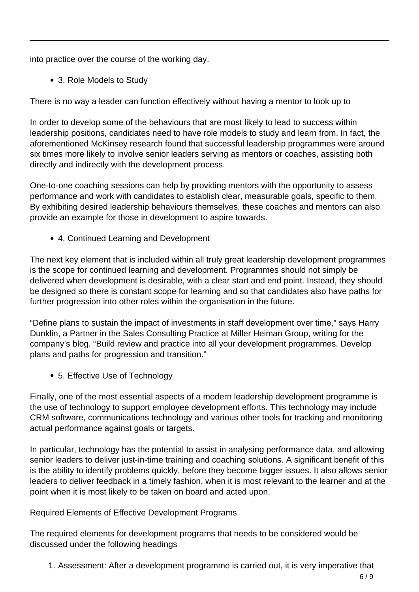into practice over the course of the working day.

3. Role Models to Study

There is no way a leader can function effectively without having a mentor to look up to

In order to develop some of the behaviours that are most likely to lead to success within leadership positions, candidates need to have role models to study and learn from. In fact, the aforementioned McKinsey research found that successful leadership programmes were around six times more likely to involve senior leaders serving as mentors or coaches, assisting both directly and indirectly with the development process.

One-to-one coaching sessions can help by providing mentors with the opportunity to assess performance and work with candidates to establish clear, measurable goals, specific to them. By exhibiting desired leadership behaviours themselves, these coaches and mentors can also provide an example for those in development to aspire towards.

4. Continued Learning and Development

The next key element that is included within all truly great leadership development programmes is the scope for continued learning and development. Programmes should not simply be delivered when development is desirable, with a clear start and end point. Instead, they should be designed so there is constant scope for learning and so that candidates also have paths for further progression into other roles within the organisation in the future.

"Define plans to sustain the impact of investments in staff development over time," says Harry Dunklin, a Partner in the Sales Consulting Practice at Miller Heiman Group, writing for the company's blog. "Build review and practice into all your development programmes. Develop plans and paths for progression and transition."

5. Effective Use of Technology

Finally, one of the most essential aspects of a modern leadership development programme is the use of technology to support employee development efforts. This technology may include CRM software, communications technology and various other tools for tracking and monitoring actual performance against goals or targets.

In particular, technology has the potential to assist in analysing performance data, and allowing senior leaders to deliver just-in-time training and coaching solutions. A significant benefit of this is the ability to identify problems quickly, before they become bigger issues. It also allows senior leaders to deliver feedback in a timely fashion, when it is most relevant to the learner and at the point when it is most likely to be taken on board and acted upon.

#### Required Elements of Effective Development Programs

The required elements for development programs that needs to be considered would be discussed under the following headings

1. Assessment: After a development programme is carried out, it is very imperative that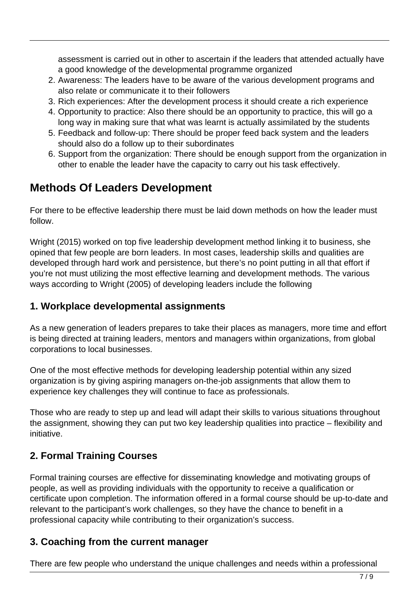assessment is carried out in other to ascertain if the leaders that attended actually have a good knowledge of the developmental programme organized

- 2. Awareness: The leaders have to be aware of the various development programs and also relate or communicate it to their followers
- 3. Rich experiences: After the development process it should create a rich experience
- 4. Opportunity to practice: Also there should be an opportunity to practice, this will go a long way in making sure that what was learnt is actually assimilated by the students
- 5. Feedback and follow-up: There should be proper feed back system and the leaders should also do a follow up to their subordinates
- 6. Support from the organization: There should be enough support from the organization in other to enable the leader have the capacity to carry out his task effectively.

# **Methods Of Leaders Development**

For there to be effective leadership there must be laid down methods on how the leader must follow.

Wright (2015) worked on top five leadership development method linking it to business, she opined that few people are born leaders. In most cases, leadership skills and qualities are developed through hard work and persistence, but there's no point putting in all that effort if you're not must utilizing the most effective learning and development methods. The various ways according to Wright (2005) of developing leaders include the following

## **1. Workplace developmental assignments**

As a new generation of leaders prepares to take their places as managers, more time and effort is being directed at training leaders, mentors and managers within organizations, from global corporations to local businesses.

One of the most effective methods for developing leadership potential within any sized organization is by giving aspiring managers on-the-job assignments that allow them to experience key challenges they will continue to face as professionals.

Those who are ready to step up and lead will adapt their skills to various situations throughout the assignment, showing they can put two key leadership qualities into practice – flexibility and initiative.

# **2. Formal Training Courses**

Formal training courses are effective for disseminating knowledge and motivating groups of people, as well as providing individuals with the opportunity to receive a qualification or certificate upon completion. The information offered in a formal course should be up-to-date and relevant to the participant's work challenges, so they have the chance to benefit in a professional capacity while contributing to their organization's success.

## **3. Coaching from the current manager**

There are few people who understand the unique challenges and needs within a professional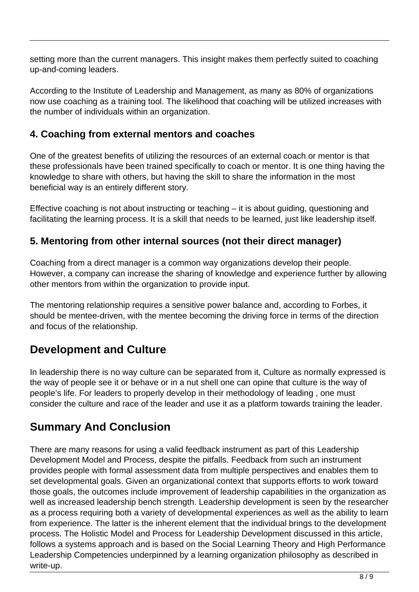setting more than the current managers. This insight makes them perfectly suited to coaching up-and-coming leaders.

According to the Institute of Leadership and Management, as many as 80% of organizations now use coaching as a training tool. The likelihood that coaching will be utilized increases with the number of individuals within an organization.

## **4. Coaching from external mentors and coaches**

One of the greatest benefits of utilizing the resources of an external coach or mentor is that these professionals have been trained specifically to coach or mentor. It is one thing having the knowledge to share with others, but having the skill to share the information in the most beneficial way is an entirely different story.

Effective coaching is not about instructing or teaching – it is about guiding, questioning and facilitating the learning process. It is a skill that needs to be learned, just like leadership itself.

## **5. Mentoring from other internal sources (not their direct manager)**

Coaching from a direct manager is a common way organizations develop their people. However, a company can increase the sharing of knowledge and experience further by allowing other mentors from within the organization to provide input.

The mentoring relationship requires a sensitive power balance and, according to Forbes, it should be mentee-driven, with the mentee becoming the driving force in terms of the direction and focus of the relationship.

# **Development and Culture**

In leadership there is no way culture can be separated from it, Culture as normally expressed is the way of people see it or behave or in a nut shell one can opine that culture is the way of people's life. For leaders to properly develop in their methodology of leading , one must consider the culture and race of the leader and use it as a platform towards training the leader.

# **Summary And Conclusion**

There are many reasons for using a valid feedback instrument as part of this Leadership Development Model and Process, despite the pitfalls. Feedback from such an instrument provides people with formal assessment data from multiple perspectives and enables them to set developmental goals. Given an organizational context that supports efforts to work toward those goals, the outcomes include improvement of leadership capabilities in the organization as well as increased leadership bench strength. Leadership development is seen by the researcher as a process requiring both a variety of developmental experiences as well as the ability to learn from experience. The latter is the inherent element that the individual brings to the development process. The Holistic Model and Process for Leadership Development discussed in this article, follows a systems approach and is based on the Social Learning Theory and High Performance Leadership Competencies underpinned by a learning organization philosophy as described in write-up.